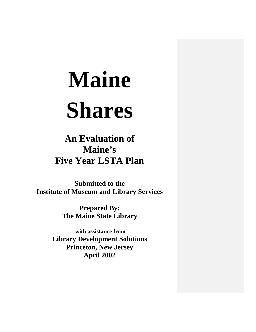**An Evaluation of Maine's Five Year LSTA Plan**

**Submitted to the Institute of Museum and Library Services**

> **Prepared By: The Maine State Library**

**with assistance from Library Development Solutions Princeton, New Jersey April 2002**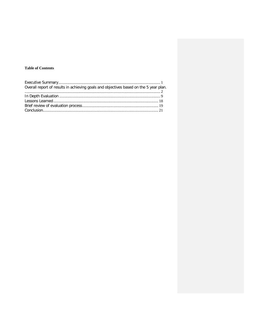# **Table of Contents**

| Overall report of results in achieving goals and objectives based on the 5 year plan |  |
|--------------------------------------------------------------------------------------|--|
|                                                                                      |  |
|                                                                                      |  |
|                                                                                      |  |
|                                                                                      |  |
|                                                                                      |  |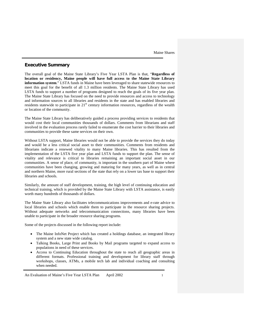## <span id="page-2-0"></span>**Executive Summary**

The overall goal of the Maine State Library's Five Year LSTA Plan is that, "**Regardless of location or residency, Maine people will have full access to the Maine State Library information system**." LSTA funds in Maine have been leveraged to share statewide resources to meet this goal for the benefit of all 1.3 million residents. The Maine State Library has used LSTA funds to support a number of programs designed to reach the goals of its five year plan. The Maine State Library has focused on the need to provide resources and access to technology and information sources to all libraries and residents in the state and has enabled libraries and residents statewide to participate in  $21<sup>st</sup>$  century information resources, regardless of the wealth or location of the community.

The Maine State Library has deliberatively guided a process providing services to residents that would cost their local communities thousands of dollars. Comments from librarians and staff involved in the evaluation process rarely failed to enumerate the cost barrier to their libraries and communities to provide these same services on their own.

Without LSTA support, Maine libraries would not be able to provide the services they do today and would be a less critical social asset to their communities. Comments from residents and librarians indicate a renewed vitality to many Maine libraries. This has resulted from the implementation of the LSTA five year plan and LSTA funds to support the plan. The sense of vitality and relevance is critical to libraries remaining an important social asset in our communities. A sense of place, of community, is important in the southern part of Maine where communities have been changing, growing and maturing for many years, as well as in central and northern Maine, more rural sections of the state that rely on a lower tax base to support their libraries and schools.

Similarly, the amount of staff development, training, the high level of continuing education and technical training, which is provided by the Maine State Library with LSTA assistance, is easily worth many hundreds of thousands of dollars.

The Maine State Library also facilitates telecommunications improvements and e-rate advice to local libraries and schools which enable them to participate in the resource sharing projects. Without adequate networks and telecommunication connections, many libraries have been unable to participate in the broader resource sharing programs.

Some of the projects discussed in the following report include:

- The Maine InfoNet Project which has created a holdings database, an integrated library system and a new state wide catalog.
- Talking Books, Large Print and Books by Mail programs targeted to expand access to populations in need of these services.
- Access to Continuing Education throughout the state to reach all geographic areas in different formats. Professional training and development for library staff through workshops, classes, ATMs, a mobile tech lab and individual coaching and consulting when needed.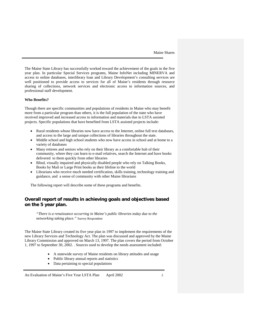The Maine State Library has successfully worked toward the achievement of the goals in the five year plan. In particular Special Services programs, Maine InfoNet including MINERVA and access to online databases, interlibrary loan and Library Development's consulting services are well positioned to provide access to services for all of Maine's residents through resource sharing of collections, network services and electronic access to information sources, and professional staff development.

#### **Who Benefits?**

Though there are specific communities and populations of residents in Maine who may benefit more from a particular program than others, it is the full population of the state who have received improved and increased access to information and materials due to LSTA assisted projects. Specific populations that have benefited from LSTA assisted projects include:

- Rural residents whose libraries now have access to the Internet, online full text databases, and access to the large and unique collections of libraries throughout the state.
- Middle school and high school students who now have access in school and at home to a variety of databases
- Many retirees and seniors who rely on their library as a comfortable hub of their community, where they can learn to e-mail relatives, search the Internet and have books delivered to them quickly from other libraries
- Blind, visually impaired and physically disabled people who rely on Talking Books, Books by Mail or Large Print books as their lifeline to the world
- Librarians who receive much needed certification, skills training, technology training and guidance, and a sense of community with other Maine librarians

The following report will describe some of these programs and benefits.

# <span id="page-3-0"></span>**Overall report of results in achieving goals and objectives based on the 5 year plan.**

*"There is a renaissance occurring in Maine's public libraries today due to the networking taking place."* Survey Respondent

The Maine State Library created its five year plan in 1997 to implement the requirements of the new Library Services and Technology Act. The plan was discussed and approved by the Maine Library Commission and approved on March 13, 1997. The plan covers the period from October 1, 1997 to September 30, 2002. . Sources used to develop the needs assessment included:

- A statewide survey of Maine residents on library attitudes and usage
- Public library annual reports and statistics
- Data pertaining to special populations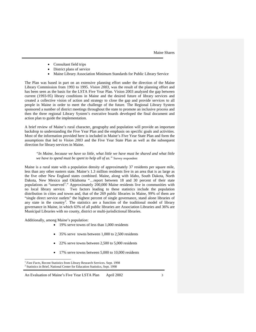- Consultant field trips
- District plans of service
- Maine Library Association Minimum Standards for Public Library Service

The Plan was based in part on an extensive planning effort under the direction of the Maine Library Commission from 1993 to 1995. *Vision 2003*, was the result of the planning effort and has been seen as the basis for the LSTA Five Year Plan. Vision 2003 analyzed the gap between current (1993-95) library conditions in Maine and the desired future of library services and created a collective vision of action and strategy to close the gap and provide services to all people in Maine in order to meet the challenge of the future. The Regional Library System sponsored a number of district meetings throughout the state to promote an inclusive process and then the three regional Library System's executive boards developed the final document and action plan to guide the implementation.

A brief review of Maine's rural character, geography and population will provide an important backdrop to understanding the Five Year Plan and the emphasis on specific goals and activities. Most of the information provided here is included in Maine's Five Year State Plan and form the assumptions that led to *Vision 2003* and the Five Year State Plan as well as the subsequent direction for library services in Maine.

## *"In Maine, because we have so little, what little we have must be shared and what little we have to spend must be spent to help all of us."* Survey respondent

Maine is a rural state with a population density of approximately 37 residents per square mile, less than any other eastern state. Maine's 1.3 million residents live in an area that is as large as the five other New England states combined. Maine, along with Idaho, South Dakota, North Dakota, New Mexico and Oklahoma "…report between 18 and 30 percent of their state populations as "unserved<sup>[1](#page-4-0)</sup>." Approximately  $200,000$  Maine residents live in communities with no local library service. Two factors leading to these statistics include the population distribution in cities and towns and, that of the 269 public libraries in Maine, 99% of them are "single direct service outlets" the highest percent of single governance, stand alone libraries of any state in the country<sup>[2](#page-4-1)</sup>. The statistics are a function of the traditional model of library governance in Maine, in which 63% of all public libraries are Association Libraries and 36% are Municipal Libraries with no county, district or multi-jurisdictional libraries.

Additionally, among Maine's population:

- 19% serve towns of less than 1,000 residents
- 35% serve towns between 1,000 to 2,500 residents
- 22% serve towns between 2,500 to  $5,000$  residents
- 17% serve towns between 5,000 to 10,000 residents

<span id="page-4-1"></span><span id="page-4-0"></span><sup>&</sup>lt;sup>1</sup> *Fast Facts*, Recent Statistics from Library Research Services. Sept. 1998<br><sup>2</sup> Statistics in Brief, National Center for Education Statistics, Sept. 1998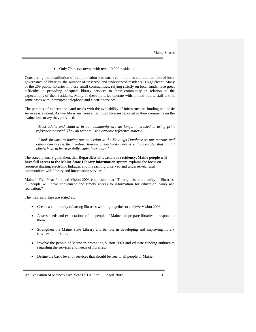• Only 7% serve towns with over 10,000 residents

Considering this distribution of the population into small communities and the tradition of local governance of libraries, the number of unserved and underserved residents is significant. Many of the 269 public libraries in these small communities, relying strictly on local funds, face great difficulty in providing adequate library services to their community in relation to the expectations of their residents. Many of these libraries operate with limited hours, staff and in some cases with interrupted telephone and electric services.

The paradox of expectations and needs with the availability of infrastructure, funding and basic services is evident. As two librarians from small rural libraries reported in their comments on the evaluation survey they provided:

*"Most adults and children in our community are no longer interested in using print reference material. They all want to use electronic reference material."*

*"I look forward to having our collection in the Holdings Database so our patrons and others can access them online, however…electricity here is still so erratic that digital clocks have to be reset daily, sometimes more."*

The stated primary goal, then, that **Regardless of location or residency, Maine people will have full access to the Maine State Library information system** explains the focus on resource sharing, electronic linkages and in reaching unserved and underserved rural communities with library and information services.

Maine's Five Year Plan and Vision 2003 emphasize that "Through the community of libraries, all people will have convenient and timely access to information for education, work and recreation."

The main priorities are stated as:

- Create a community of strong libraries working together to achieve Vision 2003.
- Assess needs and expectations of the people of Maine and prepare libraries to respond to them.
- Strengthen the Maine State Library and its role in developing and improving library services in the state.
- Involve the people of Maine in promoting Vision 2003 and educate funding authorities regarding the services and needs of libraries.
- Define the basic level of services that should be free to all people of Maine.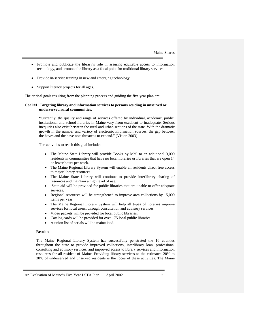- Promote and publicize the library's role in assuring equitable access to information technology, and promote the library as a focal point for traditional library services.
- Provide in-service training in new and emerging technology.
- Support literacy projects for all ages.

The critical goals resulting from the planning process and guiding the five year plan are:

#### **Goal #1: Targeting library and information services to persons residing in unserved or underserved rural communities.**

"Currently, the quality and range of services offered by individual, academic, public, institutional and school libraries in Maine vary from excellent to inadequate. Serious inequities also exist between the rural and urban sections of the state. With the dramatic growth in the number and variety of electronic information sources, the gap between the haves and the have nots threatens to expand." (Vision 2003)

The activities to reach this goal include:

- The Maine State Library will provide Books by Mail to an additional 3,000 residents in communities that have no local libraries or libraries that are open 14 or fewer hours per week.
- The Maine Regional Library System will enable all residents direct free access to major library resources
- The Maine State Library will continue to provide interlibrary sharing of resources and maintain a high level of use.
- State aid will be provided for public libraries that are unable to offer adequate services.
- Regional resources will be strengthened to improve area collections by 15,000 items per year.
- The Maine Regional Library System will help all types of libraries improve services for local users, through consultation and advisory services.
- Video packets will be provided for local public libraries.
- Catalog cards will be provided for over 175 local public libraries.
- A union list of serials will be maintained.

## **Results:**

The Maine Regional Library System has successfully penetrated the 16 counties throughout the state to provide improved collections, interlibrary loan, professional consulting and advisory services, and improved access to library services and information resources for all resident of Maine. Providing library services to the estimated 20% to 30% of underserved and unserved residents is the focus of these activities. The Maine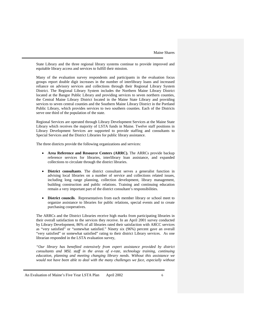State Library and the three regional library systems continue to provide improved and equitable library access and services to fulfill their mission.

Many of the evaluation survey respondents and participants in the evaluation focus groups report double digit increases in the number of interlibrary loans and increased reliance on advisory services and collections through their Regional Library System District. The Regional Library System includes the Northern Maine Library District located at the Bangor Public Library and providing services to seven northern counties, the Central Maine Library District located in the Maine State Library and providing services to seven central counties and the Southern Maine Library District in the Portland Public Library, which provides services to two southern counties. Each of the Districts serve one third of the population of the state.

Regional Services are operated through Library Development Services at the Maine State Library which receives the majority of LSTA funds in Maine. Twelve staff positions in Library Development Services are supported to provide staffing and consultants to Special Services and the District Libraries for public library assistance.

The three districts provide the following organizations and services:

- **Area Reference and Resource Centers (ARRC).** The ARRCs provide backup reference services for libraries, interlibrary loan assistance, and expanded collections to circulate through the district libraries.
- **District consultants**. The district consultant serves a generalist function in advising local libraries on a number of service and collections related issues, including long range planning, collection development, library management, building construction and public relations. Training and continuing education remain a very important part of the district consultant's responsibilities.
- **District councils**. Representatives from each member library or school meet to organize assistance to libraries for public relations, special events and to create purchasing cooperatives.

The ARRCs and the District Libraries receive high marks from participating libraries in their overall satisfaction to the services they receive. In an April 2001 survey conducted by Library Development, 86% of all libraries rated their satisfaction with ARCC services as "very satisfied" or "somewhat satisfied." Ninety six (96%) percent gave an overall "very satisfied" or somewhat satisfied" rating to their district Library services. As one librarian responded in the LSTA evaluation survey,

*"Our library has benefited extensively from expert assistance provided by district consultants and MSL staff in the areas of e-rate, technology training, continuing education, planning and meeting changing library needs. Without this assistance we*  would not have been able to deal with the many challenges we face, especially without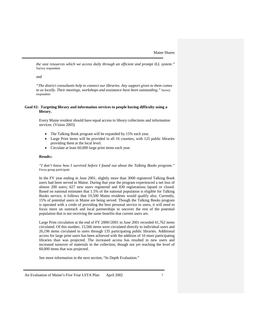*the vast resources which we access daily through an efficient and prompt ILL system."*  Survey respondent

and

*"The district consultants help to connect our libraries. Any support given to them comes to us locally. Their meetings, workshops and assistance have been outstanding."* Survey respondent

#### **Goal #2: Targeting library and information services to people having difficulty using a library.**

Every Maine resident should have equal access to library collections and information services. (Vision 2003)

- The Talking Book program will be expanded by 15% each year.
- Large Print items will be provided in all 16 counties, with 125 public libraries providing them at the local level.
- Circulate at least 60,000 large print items each year.

## **Result**s**:**

*"I don't know how I survived before I found out about the Talking Books program."* Focus group participant

In the FY year ending in June 2001, slightly more than 3000 registered Talking Book users had been served in Maine. During that year the program experienced a net loss of almost 200 users; 627 new users registered and 830 registrations lapsed or closed. Based on national estimates that 1.5% of the national population is eligible for Talking Books service, it follows that 19,500 Maine residents would qualify also. Currently, 15% of potential users in Maine are being served. Though the Talking Books program is operated with a credo of providing the best personal service to users, it will need to focus more on outreach and local partnerships to uncover the rest of the potential population that is not receiving the same benefits that current users are.

Large Print circulation at the end of FY 2000//2001 in June 2001 recorded 41,762 items circulated. Of this number, 15,566 items were circulated directly to individual users and 26,196 items circulated to users through 135 participating public libraries. Additional access for large print users has been achieved with the addition of 10 more participating libraries than was projected. The increased access has resulted in new users and increased turnover of materials in the collection, though not yet reaching the level of 60,000 items that was projected.

See more information in the next section, "In Depth Evaluation."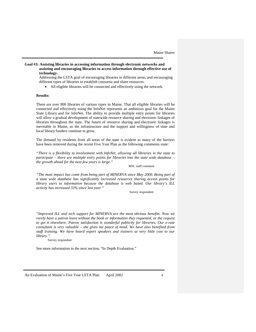**Goal #3: Assisting libraries in accessing information through electronic networks and assisting and encouraging libraries to access information through effective use of technology.**

Addressing the LSTA goal of encouraging libraries in different areas, and encouraging different types of libraries to establish consortia and share resources.

• All eligible libraries will be connected and effectively using the network.

### **Results:**

There are over 800 libraries of various types in Maine. That all eligible libraries will be connected and effectively using the InfoNet represents an ambitious goal for the Maine State Library and for InfoNet. The ability to provide multiple entry points for libraries will allow a gradual development of statewide resource sharing and electronic linkages of libraries throughout the state. The future of resource sharing and electronic linkages is inevitable in Maine, as the infrastructure and the support and willingness of state and local library funders continue to grow.

The demand by residents from all areas of the state is evident as many of the barriers have been removed during the recent Five Year Plan as the following comments state:

*"There is a flexibility to involvement with InfoNet, allowing all libraries in the state to participate – there are multiple entry points for libraries into the state wide database – the growth ahead for the next few years is large."*

MSL staff comment

*"The most impact has come from being part of MINERVA since May 2000. Being part of a state wide database has significantly increased resources sharing access points for library users to information because the database is web based. Our library's ILL activity has increased 33% since last year "*

Survey respondent

*"Improved ILL and tech support for MINERVA are the most obvious benefits. Now we rarely have a patron leave without the book or information they requested, or the request to get it elsewhere. Patron satisfaction is wonderful publicity for libraries. Our e-rate consultant is very valuable – she gives me peace of mind. We have also benefited from staff training. We have heard expert speakers and trainers at very little cost to our library."*

Survey respondent

See more information in the next section, "In Depth Evaluation."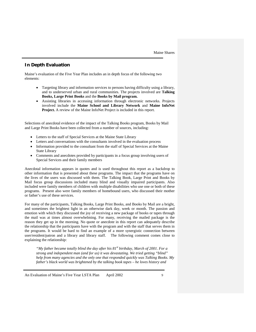# <span id="page-10-0"></span>**In Depth Evaluation**

Maine's evaluation of the Five Year Plan includes an in depth focus of the following two elements:

- Targeting library and information services to persons having difficulty using a library, and to underserved urban and rural communities. The projects involved are **Talking Books, Large Print Books** and the **Books by Mail program.**
- Assisting libraries in accessing information through electronic networks. Projects involved include the **Maine School and Library Network** and **Maine InfoNet Project.** A review of the Maine InfoNet Project is included in this report.

Selections of anecdotal evidence of the impact of the Talking Books program, Books by Mail and Large Print Books have been collected from a number of sources, including:

- Letters to the staff of Special Services at the Maine State Library
- Letters and conversations with the consultants involved in the evaluation process
- Information provided to the consultant from the staff of Special Services at the Maine State Library
- Comments and anecdotes provided by participants in a focus group involving users of Special Services and their family members

Anecdotal information appears in quotes and is used throughout this report as a backdrop to other information that is presented about these programs. The impact that the programs have on the lives of the users was discussed with them. The Talking Book, Large Print and Books by Mail focus group discussions included many blind and visually impaired participants. Also included were family members of children with multiple disabilities who use one or both of these programs. Present also were family members of homebound users, who discussed their mother or father's use of these services.

For many of the participants, Talking Books, Large Print Books, and Books by Mail are a bright, and sometimes the brightest light in an otherwise dark day, week or month. The passion and emotion with which they discussed the joy of receiving a new package of books or tapes through the mail was at times almost overwhelming. For many, receiving the mailed package is the reason they get up in the morning. No quote or anecdote in this report can adequately describe the relationship that the participants have with the program and with the staff that serves them in the programs. It would be hard to find an example of a more synergistic connection between user/resident/patron and a library and library staff. The following comment comes close to explaining the relationship:

*"My father became totally blind the day after his 81st birthday, March of 2001. For a strong and independent man (and for us) it was devastating. We tried getting "blind" help from many agencies and the only one that responded quickly was Talking Books. My father's black world was brightened by the talking book tapes – he loves history and*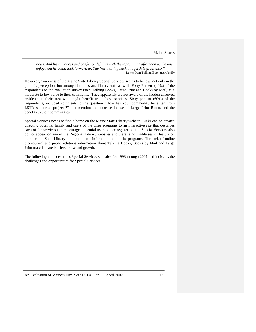*news. And his blindness and confusion left him with the tapes in the afternoon as the one enjoyment he could look forward to. The free mailing back and forth is great also."* Letter from Talking Book user family

However, awareness of the Maine State Library Special Services seems to be low, not only in the public's perception, but among librarians and library staff as well. Forty Percent (40%) of the respondents to the evaluation survey rated Talking Books, Large Print and Books by Mail, as a moderate to low value to their community. They apparently are not aware of the hidden unserved residents in their area who might benefit from these services. Sixty percent (60%) of the respondents, included comments to the question "How has your community benefited from LSTA supported projects?" that mention the increase in use of Large Print Books and the benefits to their communities.

Special Services needs to find a home on the Maine State Library website. Links can be created directing potential family and users of the three programs to an interactive site that describes each of the services and encourages potential users to pre-register online. Special Services also do not appear on any of the Regional Library websites and there is no visible search feature on them or the State Library site to find out information about the programs. The lack of online promotional and public relations information about Talking Books, Books by Mail and Large Print materials are barriers to use and growth.

The following table describes Special Services statistics for 1998 through 2001 and indicates the challenges and opportunities for Special Services.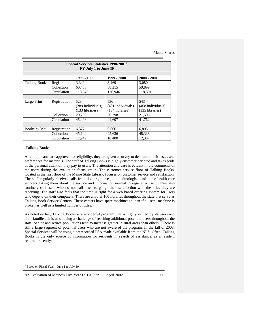| Special Services Statistics 1998-2001 <sup>3</sup><br>FY July 1 to June 30 |              |                   |                   |                   |  |  |
|----------------------------------------------------------------------------|--------------|-------------------|-------------------|-------------------|--|--|
|                                                                            |              | 1998 - 1999       | 1999 - 2000       | $2000 - 2001$     |  |  |
| <b>Talking Books</b>                                                       | Registration | 3.349             | 3,469             | 3,080             |  |  |
|                                                                            | Collection   | 60,488            | 58,215            | 59,899            |  |  |
|                                                                            | Circulation  | 118,543           | 126,946           | 118,801           |  |  |
|                                                                            |              |                   |                   |                   |  |  |
| Large Print                                                                | Registration | 523               | 536               | 543               |  |  |
|                                                                            |              | (389 individuals) | (401 individuals) | (408 individuals) |  |  |
|                                                                            |              | (133 libraries)   | (134 libraries)   | (135 libraries)   |  |  |
|                                                                            | Collection   | 20,233            | 20,398            | 21,508            |  |  |
|                                                                            | Circulation  | 45,498            | 44,607            | 41,762            |  |  |
|                                                                            |              |                   |                   |                   |  |  |
| Books by Mail                                                              | Registration | 6,377             | 6,666             | 6,895             |  |  |
|                                                                            | Collection   | 45,640            | 45,636            | 48,338            |  |  |
|                                                                            | Circulation  | 12,949            | 10,400            | 12,387            |  |  |

## **Talking Books**

After applicants are approved for eligibility, they are given a survey to determine their tastes and preferences for materials. The staff of Talking Books is highly customer oriented and takes pride in the personal attention they pay to users. The attention and care is evident in the comments of the users during the evaluation focus group. The customer service floor of Talking Books, located in the first floor of the Maine State Library, focuses on customer service and satisfaction. The staff regularly receives calls from doctors, nurses, ophthalmologists and home health care workers asking them about the service and information needed to register a user. They also routinely call users who do not call often to gauge their satisfaction with the titles they are receiving. The staff also feels that the time is right for a web based ordering system for users who depend on their computers. There are another 100 libraries throughout the state that serve as Talking Book Service Centers. These centers have spare machines to loan if a users' machine is broken as well as a limited number of titles.

As noted earlier, Talking Books is a wonderful program that is highly valued by its users and their families. It is also facing a challenge of reaching additional potential users throughout the state. Senior and retiree populations tend to increase greater in rural areas than others. There is still a large segment of potential users who are not aware of the program. In the fall of 2003, Special Services will be using a prerecorded PSA made available from the NLS. Often, Talking Books is the only source of information for residents in search of assistance, as a resident reported recently:

<span id="page-12-0"></span>3 Based on Fiscal Year – June 1 to July 30.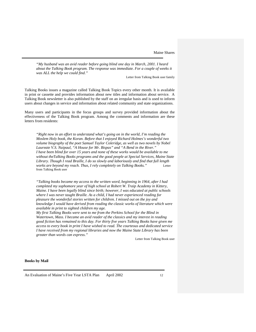*"My husband was an avid reader before going blind one day in March, 2001. I heard about the Talking Book program. The response was immediate. For a couple of weeks it was ALL the help we could find."*

Letter from Talking Book user family

Talking Books issues a magazine called Talking Book Topics every other month. It is available in print or cassette and provides information about new titles and information about service. A Talking Book newsletter is also published by the staff on an irregular basis and is used to inform users about changes in service and information about related community and state organizations.

Many users and participants in the focus groups and survey provided information about the effectiveness of the Talking Book program. Among the comments and information are these letters from residents:

*"Right now in an effort to understand what's going on in the world, I'm reading the Moslem Holy book, the Koran. Before that I enjoyed Richard Holmes's wonderful two volume biography of the poet Samuel Taylor Coleridge, as well as two novels by Nobel Laureate V.S. Naipaul, "A House for Mr. Bispas" and "A Bend in the River." I have been blind for over 15 years and none of these works would be available to me without theTalking Books programs and the good people at Special Services, Maine State Library. Though I read Braille, I do so slowly and laboriously and find that full length works are beyond my reach. Thus, I rely completely on Talking Books."* Letter from Talking Book user

*"Talking books became my access to the written word, beginning in 1964, after I had completed my sophomore year of high school at Robert W. Traip Academy in Kittery, Maine. I have been legally blind since birth; however, I was educated at public schools where I was never taught Braille. As a child, I had never experienced reading for pleasure the wonderful stories written for children. I missed out on the joy and knowledge I would have derived from reading the classic works of literature which were available in print to sighted children my age.* 

*My first Talking Books were sent to me from the Perkins School for the Blind in Watertown, Mass. I became an avid reader of the classics and my interest in reading good fiction has remained to this day. For thirty five years Talking Books have given me access to every book in print I have wished to read. The courteous and dedicated service I have received from my regional libraries and now the Maine State Library has been greater than words can express."*

Letter from Talking Book user

#### **Books by Mail**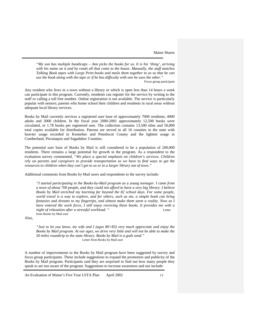*"My son has multiple handicaps – Ann picks the books for us. It is his 'thing', arriving with his name on it and he reads all that come to the house. Manually, the staff matches Talking Book tapes with Large Print books and mails them together to us so that he can use the book along with the tape or if he has difficulty with one he uses the other."*

Focus group participant

Any resident who lives in a town without a library or which is open less than 14 hours a week can participate in this program. Currently, residents can register for the service by writing to the staff or calling a toll free number. Online registration is not available. The service is particularly popular with seniors; parents who home school their children and residents in rural areas without adequate local library services.

Books by Mail currently services a registered user base of approximately 7000 residents; 4000 adults and 3000 children. In the fiscal year 2000-2001 approximately 12,500 books were circulated, or 1.78 books per registered user. The collection contains 13,500 titles and 50,000 total copies available for distribution. Patrons are served in all 16 counties in the state with heavier usage recorded in Kennebec and Penobscot County and the lightest usage in Cumberland, Piscataquis and Sagadahoc Counties.

The potential user base of Books by Mail is still considered to be a population of 200,000 residents. There remains a large potential for growth in the program. As a respondent to the evaluation survey commented, *"We place a special emphasis on children's services. Children rely on parents and caregivers to provide transportation so we have to find ways to get the resources to children when they can't get to us or to a larger library out of town."*

Additional comments from Books by Mail users and respondents to the survey include:

*"I started participating in the Books-by-Mail program as a young teenager. I came from a town of about 700 people, and they could not afford to have a very big library. I believe Books by Mail enriched my learning far beyond the 82 school days. For some people, world travel is a way to explore, and for others, such as me, a simple book can bring fantasies and dreams to my fingertips, and almost make them seem a reality. Now as I have entered the work force, I still enjoy receiving these books. It provides me with a night of relaxation after a stressful workload. "* Letter from Books by Mail user

Also,

*"Just to let you know, my wife and I (ages 80+83) very much appreciate and enjoy the Books by Mail program. At our ages, we drive very little and will not be able to make the 50 miles roundtrip to the state library. Books by Mail is a gods send."* Letter from Books by Mail user

A number of improvements to the Books by Mail program have been suggested by survey and focus group participants. These include suggestions to expand the promotion and publicity of the Books by Mail program. Participants said they are surprised to find out how many people they speak to are not aware of the program. Suggestions to increase awareness and use include: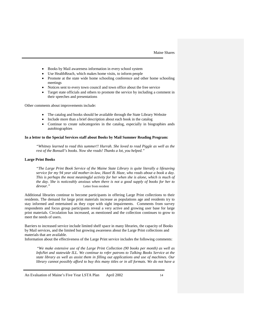- Books by Mail awareness information in every school system
- Use HealthReach, which makes home visits, to inform people
- Promote at the state wide home schooling conference and other home schooling meetings
- Notices sent to every town council and town office about the free service
- Target state officials and others to promote the service by including a comment in their speeches and presentations

Other comments about improvements include:

- The catalog and books should be available through the State Library Website
- Include more than a brief description about each book in the catalog
- Continue to create subcategories in the catalog, especially in biographies ands autobiographies

### **In a letter to the Special Services staff about Books by Mail Summer Reading Program:**

*"Whitney learned to read this summer!! Hurrah. She loved to read Piggle as well as the rest of the Bonsall's books. Now she reads! Thanks a lot, you helped."*

## **Large Print Books**

*"The Large Print Book Service of the Maine State Library is quite literally a lifesaving service for my 94 year old mother-in-law, Hazel B. Haze, who reads about a book a day. This is perhaps the most meaningful activity for her when she is alone, which is much of the day. She is noticeably anxious when there is not a good supply of books for her to devour."* Letter from resident

Additional libraries continue to become participants in offering Large Print collections to their residents. The demand for large print materials increase as populations age and residents try to stay informed and entertained as they cope with sight impairments. Comments from survey respondents and focus group participants reveal a very active and growing user base for large print materials. Circulation has increased, as mentioned and the collection continues to grow to meet the needs of users.

Barriers to increased service include limited shelf space in many libraries, the capacity of Books by Mail services, and the limited but growing awareness about the Large Print collections and materials that are available.

Information about the effectiveness of the Large Print service includes the following comments:

"*We make extensive use of the Large Print Collection (90 books per month) as well as InfoNet and statewide ILL. We continue to refer patrons to Talking Books Service at the state library as well as assist them in filling out applications and use of machines. Our library cannot possibly afford to buy this many titles or in all formats. We do not have a*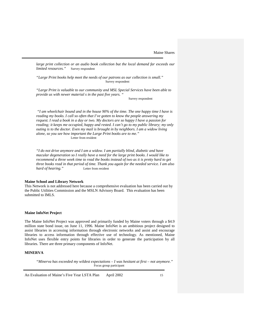large print collection or an audio book collection but the local demand far exceeds our *limited resources.*" Survey respondent

*"Large Print books help meet the needs of our patrons as our collection is small."* Survey respondent

*"Large Print is valuable to our community and MSL Special Services have been able to provide us with newer material s in the past five years. "*

Survey respondent

*"I am wheelchair bound and in the house 90% of the time. The one happy time I have is reading my books. I call so often that I've gotten to know the people answering my request. I read a book in a day or two. My doctors are so happy I have a passion for reading; it keeps me occupied, happy and rested. I can't go to my public library; my only outing is to the doctor. Even my mail is brought in by neighbors. I am a widow living alone, so you see how important the Large Print books are to me."* Letter from resident

*"I do not drive anymore and I am a widow. I am partially blind, diabetic and have macular degeneration so I really have a need for the large print books. I would like to recommend a three week time to read the books instead of two as it is pretty hard to get three books read in that period of time. Thank you again for the needed service. I am also hard of hearing."* Letter from resident

#### **Maine School and Library Network**

This Network is not addressed here because a comprehensive evaluation has been carried out by the Public Utilities Commission and the MSLN Advisory Board. This evaluation has been submitted to IMLS.

## **Maine InfoNet Project**

The Maine InfoNet Project was approved and primarily funded by Maine voters through a \$4.9 million state bond issue, on June 11, 1996. Maine InfoNet is an ambitious project designed to assist libraries in accessing information through electronic networks and assist and encourage libraries to access information through effective use of technology. As mentioned, Maine InfoNet uses flexible entry points for libraries in order to generate the participation by all libraries. There are three primary components of InfoNet.

## **MINERVA**

*"Minerva has exceeded my wildest expectations – I was hesitant at first – not anymore."* Focus group participant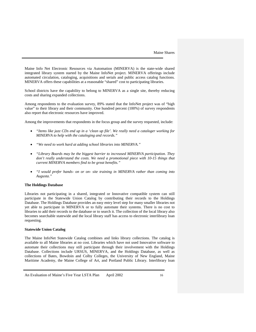Maine Info Net Electronic Resources via Automation (MINERVA) is the state-wide shared integrated library system started by the Maine InfoNet project. MINERVA offerings include automated circulation, cataloging, acquisitions and serials and public access catalog functions. MINERVA offers these capabilities at a reasonable "shared" cost to participating libraries.

School districts have the capability to belong to MINERVA as a single site, thereby reducing costs and sharing expanded collections.

Among respondents to the evaluation survey, 89% stated that the InfoNet project was of "high value" to their library and their community. One hundred percent (100%) of survey respondents also report that electronic resources have improved.

Among the improvements that respondents in the focus group and the survey requested, include:

- *"Items like jazz CDs end up in a 'clean up file'. We really need a cataloger working for MINERVA to help with the cataloging and records."*
- *"We need to work hard at adding school libraries into MINERVA."*
- *"Library Boards may be the biggest barrier to increased MINERVA participation. They*  don't really understand the costs. We need a promotional piece with 10-15 things that *current MINERVA members find to be great benefits."*
- *"I would prefer hands- on or on- site training in MINERVA rather than coming into Augusta."*

#### **The Holdings Database**

Libraries not participating in a shared, integrated or Innovative compatible system can still participate in the Statewide Union Catalog by contributing their records to the Holdings Database. The Holdings Database provides an easy entry level step for many smaller libraries not yet able to participate in MINERVA or to fully automate their systems. There is no cost to libraries to add their records to the database or to search it. The collection of the local library also becomes searchable statewide and the local library staff has access to electronic interlibrary loan requesting.

#### **Statewide Union Catalog**

The Maine InfoNet Statewide Catalog combines and links library collections. The catalog is available to all Maine libraries at no cost. Libraries which have not used Innovative software to automate their collections may still participate through their involvement with the Holdings Database. Collections include URSUS, MINERVA, and the Holdings Database, as well as collections of Bates, Bowdoin and Colby Colleges, the University of New England, Maine Maritime Academy, the Maine College of Art, and Portland Public Library. Interlibrary loan

An Evaluation of Maine's Five Year LSTA Plan April 2002 16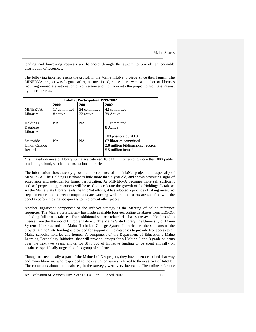lending and borrowing requests are balanced through the system to provide an equitable distribution of resources.

The following table represents the growth in the Maine InfoNet projects since their launch. The MINERVA project was begun earlier, as mentioned, since there were a number of libraries requiring immediate automation or conversion and inclusion into the project to facilitate interest by other libraries.

| <b>InfoNet Participation 1999-2002</b> |              |              |                                   |  |  |
|----------------------------------------|--------------|--------------|-----------------------------------|--|--|
|                                        | 2000         | 2001         | 2002                              |  |  |
| <b>MINERVA</b>                         | 17 committed | 34 committed | 42 committed                      |  |  |
| Libraries                              | 8 active     | 22 active    | 39 Active                         |  |  |
|                                        |              |              |                                   |  |  |
| Holdings                               | NA.          | <b>NA</b>    | 11 committed                      |  |  |
| Database                               |              |              | 8 Active                          |  |  |
| Libraries                              |              |              |                                   |  |  |
|                                        |              |              | 100 possible by 2003              |  |  |
| Statewide                              | NA           | <b>NA</b>    | 67 libraries committed            |  |  |
| Union Catalog                          |              |              | 2.8 million bibliographic records |  |  |
| Records                                |              |              | 5.5 million items*                |  |  |
|                                        |              |              |                                   |  |  |

\*Estimated universe of library items are between 10to12 million among more than 800 public, academic, school, special and institutional libraries

The information shows steady growth and acceptance of the InfoNet project, and especially of MINERVA. The Holdings Database is little more than a year old, and shows promising signs of acceptance and potential for larger participation. As MINERVA becomes more self sufficient and self perpetuating, resources will be used to accelerate the growth of the Holdings Database. As the Maine State Library leads the InfoNet efforts, it has adopted a practice of taking measured steps to ensure that current components are working well and that users are satisfied with the benefits before moving too quickly to implement other pieces.

Another significant component of the InfoNet strategy is the offering of online reference resources. The Maine State Library has made available fourteen online databases from EBSCO, including full text databases. Four additional science related databases are available through a license from the Raymond H. Fogler Library. The Maine State Library, the University of Maine Systems Libraries and the Maine Technical College System Libraries are the sponsors of the project. Maine State funding is provided for support of the databases to provide free access to all Maine schools, libraries and homes. A component of the Department of Education's Maine Learning Technology Initiative, that will provide laptops for all Maine 7 and 8 grade students over the next two years, allows for \$175,000 of Initiative funding to be spent annually on databases specifically targeted to this group of students.

Though not technically a part of the Maine InfoNet project, they have been described that way and many librarians who responded to the evaluation survey referred to them as part of InfoNet. The comments about the databases, in the surveys, were very favorable. The online reference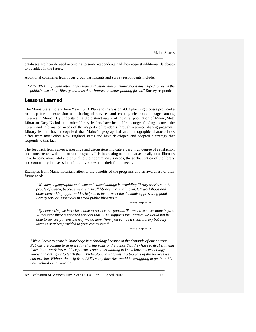databases are heavily used according to some respondents and they request additional databases to be added in the future.

Additional comments from focus group participants and survey respondents include:

*"MINERVA, improved interlibrary loan and better telecommunications has helped to revive the public's use of our library and thus their interest in better funding for us."* Survey respondent

## <span id="page-19-0"></span>**Lessons Learned**

The Maine State Library Five Year LSTA Plan and the Vision 2003 planning process provided a roadmap for the extension and sharing of services and creating electronic linkages among libraries in Maine. By understanding the distinct nature of the rural population of Maine, State Librarian Gary Nichols and other library leaders have been able to target funding to meet the library and information needs of the majority of residents through resource sharing programs. Library leaders have recognized that Maine's geographical and demographic characteristics differ from most other New England states and have developed and adopted a strategy that responds to this fact.

The feedback from surveys, meetings and discussions indicate a very high degree of satisfaction and concurrence with the current programs. It is interesting to note that as small, local libraries have become more vital and critical to their community's needs, the sophistication of the library and community increases in their ability to describe their future needs.

Examples from Maine librarians attest to the benefits of the programs and an awareness of their future needs:

*"We have a geographic and economic disadvantage in providing library services to the people of Casco, because we are a small library in a small town. CE workshops and other networking opportunities help us to better meet the demands of providing good library service, especially in small public libraries."*

Survey respondent

*"By networking we have been able to service our patrons like we have never done before. Without the three mentioned services that LSTA supports for libraries we would not be able to service patrons the way we do now. Now, you can be a small library but very large in services provided to your community."*

Survey respondent

*"We all have to grow in knowledge in technology because of the demands of our patrons. Patrons are coming to us everyday sharing some of the things that they have to deal with and learn in the work force. Older patrons come to us wanting to know how this technology works and asking us to teach them. Technology in libraries is a big part of the services we can provide. Without the help from LSTA many libraries would be struggling to get into this new technological world."*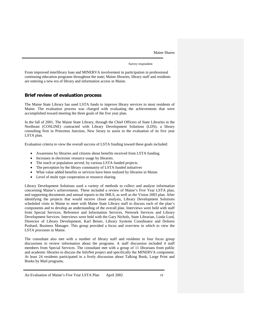Survey respondent

From improved interlibrary loan and MINERVA involvement to participation in professional continuing education programs throughout the state; Maine libraries, library staff and residents are entering a new era of library and information access in Maine.

## <span id="page-20-0"></span>**Brief review of evaluation process**

The Maine State Library has used LSTA funds to improve library services to most residents of Maine. The evaluation process was charged with evaluating the achievements that were accomplished toward meeting the three goals of the five year plan.

In the fall of 2001, The Maine State Library, through the Chief Officers of State Libraries in the Northeast (COSLINE) contracted with Library Development Solutions (LDS), a library consulting firm in Princeton Junction, New Jersey to assist in the evaluation of its five year LSTA plan.

Evaluation criteria to view the overall success of LSTA funding toward these goals included:

- Awareness by libraries and citizens about benefits received from LSTA funding.
- Increases in electronic resource usage by libraries.
- The reach or population served, by various LSTA funded projects.
- The perception by the library community of LSTA funded initiatives
- What value added benefits or services have been realized by libraries in Maine.
- Level of multi type cooperation or resource sharing.

Library Development Solutions used a variety of methods to collect and analyze information concerning Maine's achievements. These included a review of Maine's Five Year LSTA plan, and supporting documents and annual reports to the IMLS, as well as the Vision 2003 plan. After identifying the projects that would receive closer analysis, Library Development Solutions scheduled visits to Maine to meet with Maine State Library staff to discuss each of the plan's components and to develop an understanding of the overall plan. Interviews were held with staff from Special Services, Reference and Information Services, Network Services and Library Development Services. Interviews were held with the Gary Nichols, State Librarian, Linda Lord, Direector of Library Development, Karl Beiser, Library Systems Coordinator and Dolores Pushard, Business Manager. This group provided a focus and overview in which to view the LSTA processes in Maine.

The consultant also met with a number of library staff and residents in four focus group discussions to review information about the programs. A staff discussion included 4 staff members from Special Services. The consultant met with a group of 11 librarians from public and academic libraries to discuss the InfoNet project and specifically the MINERVA component. At least 24 residents participated in a lively discussion about Talking Book, Large Print and Books by Mail programs.

An Evaluation of Maine's Five Year LSTA Plan April 2002 19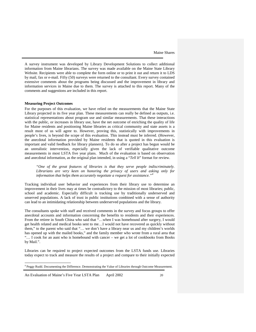A survey instrument was developed by Library Development Solutions to collect additional information from Maine librarians. The survey was made available on the Maine State Library Website. Recipients were able to complete the form online or to print it out and return it to LDS by mail, fax or e-mail. Fifty (50) surveys were returned to the consultant. Every survey contained extensive comments about the programs being discussed and the improvement in library and information services in Maine due to them. The survey is attached to this report. Many of the comments and suggestions are included in this report.

#### **Measuring Project Outcomes**

For the purposes of this evaluation, we have relied on the measurements that the Maine State Library projected in its five year plan. These measurements can really be defined as outputs, i.e. statistical representations about program use and similar measurements. That these interactions with the public, or increases in library use, have the net outcome of enriching the quality of life for Maine residents and positioning Maine libraries as critical community and state assets is a result most of us will agree to. However, proving this, statistically with improvements in people's lives, is beyond the scope of this evaluation. This instead must be inferred. (However, the anecdotal information provided by Maine residents that is quoted in this evaluation is important and valid feedback for library planners). To do so after a project has begun would be an unrealistic intervention, especially given the lack of verifiable qualitative outcome measurements in most LSTA five year plans. Much of the evaluation is based on observation and anecdotal information, as the original plan intended, in using a "*Tell It*" format for review.

*"One of the great features of libraries is that they serve people indiscriminately. Librarians are very keen on honoring the privacy of users and asking only for information that helps them accurately negotiate a request for assistance."[4](#page-21-0)*

Tracking individual user behavior and experiences from their library use to determine an improvement in their lives may at times be contradictory to the mission of most libraries; public, school and academic. Especially difficult is tracking use by traditionally underserved and unserved populations. A lack of trust in public institutions combined with a sense of authority can lead to an intimidating relationship between underserved populations and the library.

The consultants spoke with staff and received comments in the survey and focus groups to offer anecdotal accounts and information concerning the benefits to residents and their experiences. From the retiree in South China who said that "…when I was homebound after surgery, I would get health related and medical books sent to me…I would not have recovered as quickly without them," to the parent who said that "… we don't have a library near us and my children's worlds has opened up with the mailed books," and the family member who wrote from a rural area that "… I cook for an aunt who is homebound with cancer – we get a lot of cookbooks from Books by Mail.".

Libraries can be required to project expected outcomes from the LSTA funds use. Libraries today expect to track and measure the results of a project and compare to their initially expected

<span id="page-21-0"></span><sup>&</sup>lt;sup>4</sup> Peggy Rudd. Documenting the Difference. Demonstrating the Value of Libraries through Outcome Measurement.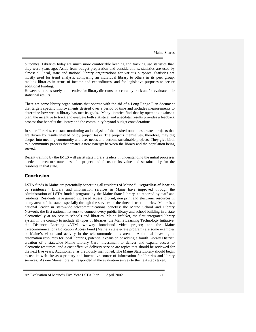outcomes. Libraries today are much more comfortable keeping and tracking use statistics than they were years ago. Aside from budget preparation and considerations, statistics are used by almost all local, state and national library organizations for various purposes. Statistics are mostly used for trend analysis, comparing an individual library to others in its peer group, ranking libraries in terms of income and expenditures, and for legislative purposes to secure additional funding.

However, there is rarely an incentive for library directors to accurately track and/or evaluate their statistical results.

There are some library organizations that operate with the aid of a Long Range Plan document that targets specific improvements desired over a period of time and includes measurements to determine how well a library has met its goals. Many libraries find that by operating against a plan, the incentive to track and evaluate both statistical and anecdotal results provides a feedback process that benefits the library and the community beyond budget considerations.

In some libraries, constant monitoring and analysis of the desired outcomes creates projects that are driven by results instead of by project tasks. The projects themselves, therefore, may dig deeper into meeting community and user needs and become sustainable projects. They give birth to a community process that creates a new synergy between the library and the population being served.

Recent training by the IMLS will assist state library leaders in understanding the initial processes needed to measure outcomes of a project and focus on its value and sustainability for the residents in that state.

## <span id="page-22-0"></span>**Conclusion**

LSTA funds in Maine are potentially benefiting all residents of Maine "…**regardless of location or residency."** Library and information services in Maine have improved through the administration of LSTA funded programs by the Maine State Library, as reported by staff and residents. Residents have gained increased access to print, non print and electronic resources in many areas of the state, especially through the services of the three district libraries. Maine is a national leader in state-wide telecommunications benefits: the Maine School and Library Network, the first national network to connect every public library and school building in a state electronically at no cost to schools and libraries; Maine InfoNet, the first integrated library system in the country to include all types of libraries; the Maine Learning Technology Initiative; the Distance Learning /ATM two-way broadband video project; and the Maine Telecommunications Education Access Fund (Maine's state e-rate program) are some examples of Maine's vision and activity in the telecommunications arena. Additional investing in automation resources for local libraries, potential expansion or adding a fourth Library District, creation of a statewide Maine Library Card, investment to deliver and expand access to electronic resources, and a cost effective delivery service are topics that should be reviewed for the next five years. Additionally, as previously mentioned, The Maine State Library should begin to use its web site as a primary and interactive source of information for libraries and library services. As one Maine librarian responded in the evaluation survey to the next steps taken,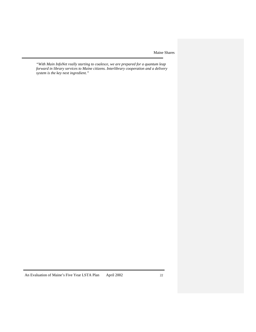*"With Main InfoNet really starting to coalesce, we are prepared for a quantum leap forward in library services to Maine citizens. Interlibrary cooperation and a delivery system is the key next ingredient."*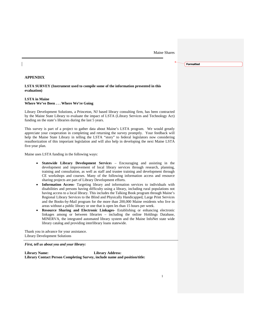**Formatted**

**APPENDIX**

**LSTA SURVEY (Instrument used to compile some of the information presented in this evaluation)**

## **LSTA in Maine Where We've Been . . . Where We're Going**

Library Development Solutions, a Princeton, NJ based library consulting firm, has been contracted by the Maine State Library to evaluate the impact of LSTA (Library Services and Technology Act) funding on the state's libraries during the last 5 years.

This survey is part of a project to gather data about Maine's LSTA program. We would greatly appreciate your cooperation in completing and returning the survey promptly. Your feedback will help the Maine State Library in telling the LSTA "story" to federal legislators now considering reauthorization of this important legislation and will also help in developing the next Maine LSTA five-year plan.

Maine uses LSTA funding in the following ways:

- **Statewide Library Development Service**s Encouraging and assisting in the development and improvement of local library services through research, planning, training and consultation, as well as staff and trustee training and development through CE workshops and courses. Many of the following information access and resource sharing projects are part of Library Development efforts.
- **Information Access-** Targeting library and information services to individuals with disabilities and persons having difficulty using a library, including rural populations not having access to a local library. This includes the Talking Book program through Maine's Regional Library Services to the Blind and Physically Handicapped, Large Print Services and the Books-by-Mail program for the more than 200,000 Maine residents who live in areas without a public library or one that is open les than 15 hours per week.
- **Resource Sharing and Electronic Linkages** Establishing or enhancing electronic linkages among or between libraries – including the online Holdings Database, MINERVA, the integrated automated library system and the Maine InfoNet state wide library catalog and providing interlibrary loans statewide.

Thank you in advance for your assistance. Library Development Solutions

*First, tell us about you and your library:*

**Library Name: Library Address: Library Contact Person Completing Survey, include name and position/title:**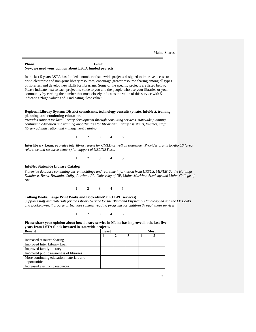### **Phone: E-mail: Now, we need your opinion about LSTA funded projects.**

In the last 5 years LSTA has funded a number of statewide projects designed to improve access to print, electronic and non-print library resources, encourage greater resource sharing among all types of libraries, and develop new skills for librarians. Some of the specific projects are listed below. Please indicate next to each project its value to you and the people who use your libraries or your community by circling the number that most closely indicates the value of this service with 5 indicating "high value" and 1 indicating "low value".

#### **Regional Library System: District consultants, technology consults (e-rate, InfoNet), training, planning, and continuing education.**

*Provides support for local library development through consulting services, statewide planning, continuing education and training opportunities for librarians, library assistants, trustees, staff, library administration and management training.*

1 2 3 4 5

**Interlibrary Loan:** *Provides interlibrary loans for CMLD as well as statewide. Provides grants to ARRCS (area reference and resource centers) for support of NELINET use.*

1 2 3 4 5

## **InfoNet Statewide Library Catalog**

*Statewide database combining current holdings and real time information from URSUS, MINERVA, the Holdings Database, Bates, Bowdoin, Colby, Portland PL, University of NE, Maine Maritime Academy and Maine College of Art.* 

1 2 3 4 5

## **Talking Books, Large Print Books and Books-by-Mail (LBPH services)**

*Supports staff and materials for the Library Service for the Blind and Physically Handicapped and the LP Books and Books-by-mail programs. Includes summer reading programs for children through these services.*

1 2 3 4 5

**Please share your opinion about how library service in Maine has improved in the last five years from LSTA funds invested in statewide projects.**

| <b>Benefit</b>                          | Least |  |   | <b>Most</b> |  |  |
|-----------------------------------------|-------|--|---|-------------|--|--|
|                                         |       |  | 3 | 4           |  |  |
| Increased resource sharing              |       |  |   |             |  |  |
| <b>Improved Inter Library Loan</b>      |       |  |   |             |  |  |
| Improved family literacy                |       |  |   |             |  |  |
| Improved public awareness of libraries  |       |  |   |             |  |  |
| More continuing education materials and |       |  |   |             |  |  |
| opportunities                           |       |  |   |             |  |  |
| Increased electronic resources          |       |  |   |             |  |  |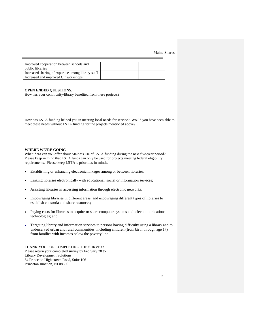| Improved cooperation between schools and           |  |  |  |
|----------------------------------------------------|--|--|--|
| <i>public libraries</i>                            |  |  |  |
| Increased sharing of expertise among library staff |  |  |  |
| Increased and improved CE workshops                |  |  |  |

#### **OPEN ENDED QUESTIONS**:

How has your community/library benefited from these projects?

How has LSTA funding helped you in meeting local needs for service? Would you have been able to meet these needs without LSTA funding for the projects mentioned above?

#### **WHERE WE'RE GOING**

What ideas can you offer about Maine's use of LSTA funding during the next five-year period? Please keep in mind that LSTA funds can only be used for projects meeting federal eligibility requirements. Please keep LSTA's priorities in mind:.

- Establishing or enhancing electronic linkages among or between libraries;
- Linking libraries electronically with educational, social or information services;
- Assisting libraries in accessing information through electronic networks;
- Encouraging libraries in different areas, and encouraging different types of libraries to establish consortia and share resources;
- Paying costs for libraries to acquire or share computer systems and telecommunications technologies; and
- Targeting library and information services to persons having difficulty using a library and to underserved urban and rural communities, including children (from birth through age 17) from families with incomes below the poverty line.

THANK YOU FOR COMPLETING THE SURVEY! Please return your completed survey by February 28 to Library Development Solutions 64 Princeton Hightstown Road, Suite 106 Princeton Junction, NJ 08550